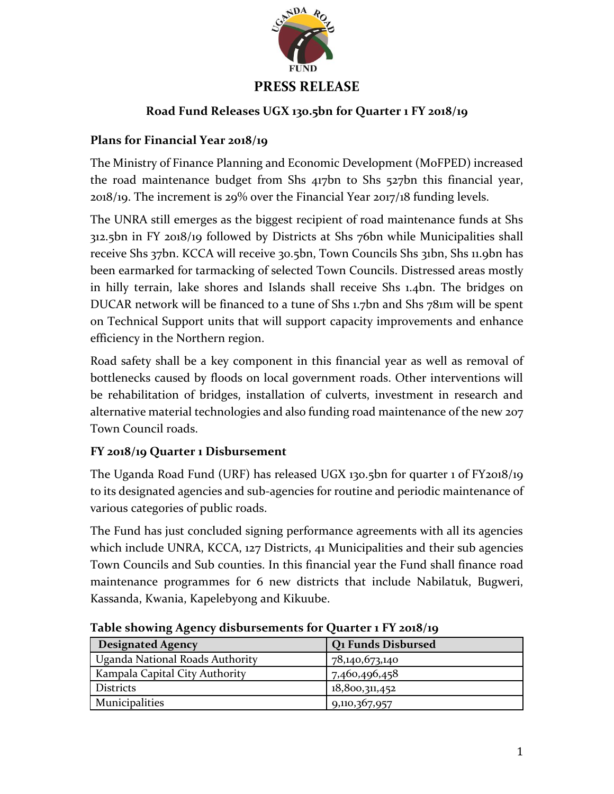

# **PRESS RELEASE**

## **Road Fund Releases UGX 130.5bn for Quarter 1 FY 2018/19**

## **Plans for Financial Year 2018/19**

The Ministry of Finance Planning and Economic Development (MoFPED) increased the road maintenance budget from Shs 417bn to Shs 527bn this financial year, 2018/19. The increment is 29% over the Financial Year 2017/18 funding levels.

The UNRA still emerges as the biggest recipient of road maintenance funds at Shs 312.5bn in FY 2018/19 followed by Districts at Shs 76bn while Municipalities shall receive Shs 37bn. KCCA will receive 30.5bn, Town Councils Shs 31bn, Shs 11.9bn has been earmarked for tarmacking of selected Town Councils. Distressed areas mostly in hilly terrain, lake shores and Islands shall receive Shs 1.4bn. The bridges on DUCAR network will be financed to a tune of Shs 1.7bn and Shs 781m will be spent on Technical Support units that will support capacity improvements and enhance efficiency in the Northern region.

Road safety shall be a key component in this financial year as well as removal of bottlenecks caused by floods on local government roads. Other interventions will be rehabilitation of bridges, installation of culverts, investment in research and alternative material technologies and also funding road maintenance of the new 207 Town Council roads.

# **FY 2018/19 Quarter 1 Disbursement**

The Uganda Road Fund (URF) has released UGX 130.5bn for quarter 1 of FY2018/19 to its designated agencies and sub-agencies for routine and periodic maintenance of various categories of public roads.

The Fund has just concluded signing performance agreements with all its agencies which include UNRA, KCCA, 127 Districts, 41 Municipalities and their sub agencies Town Councils and Sub counties. In this financial year the Fund shall finance road maintenance programmes for 6 new districts that include Nabilatuk, Bugweri, Kassanda, Kwania, Kapelebyong and Kikuube.

| <b>Designated Agency</b>        | <b>Q1 Funds Disbursed</b> |
|---------------------------------|---------------------------|
| Uganda National Roads Authority | 78,140,673,140            |
| Kampala Capital City Authority  | 7,460,496,458             |
| <b>Districts</b>                | 18,800,311,452            |
| Municipalities                  | 9,110,367,957             |

**Table showing Agency disbursements for Quarter 1 FY 2018/19**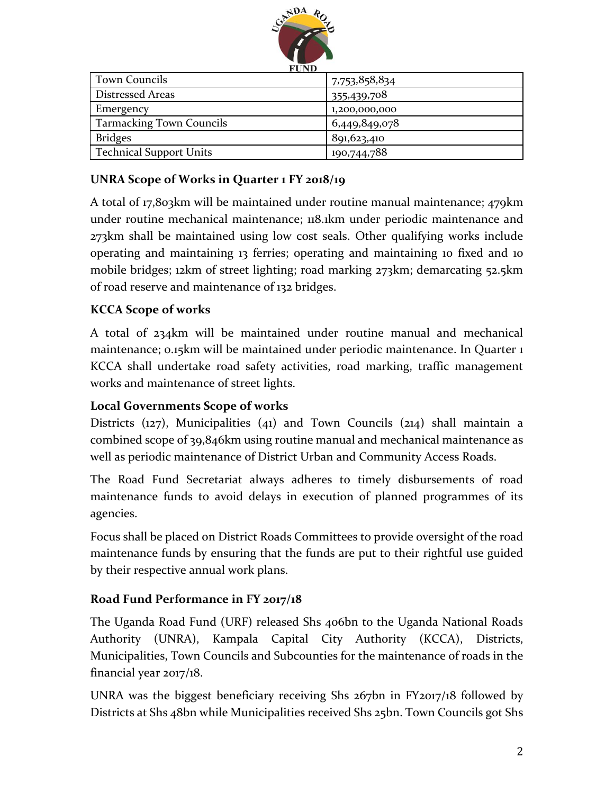

| <b>LUID</b>                     |               |
|---------------------------------|---------------|
| <b>Town Councils</b>            | 7,753,858,834 |
| <b>Distressed Areas</b>         | 355,439,708   |
| Emergency                       | 1,200,000,000 |
| <b>Tarmacking Town Councils</b> | 6,449,849,078 |
| <b>Bridges</b>                  | 891,623,410   |
| <b>Technical Support Units</b>  | 190,744,788   |

### **UNRA Scope of Works in Quarter 1 FY 2018/19**

A total of 17,803km will be maintained under routine manual maintenance; 479km under routine mechanical maintenance; 118.1km under periodic maintenance and 273km shall be maintained using low cost seals. Other qualifying works include operating and maintaining 13 ferries; operating and maintaining 10 fixed and 10 mobile bridges; 12km of street lighting; road marking 273km; demarcating 52.5km of road reserve and maintenance of 132 bridges.

### **KCCA Scope of works**

A total of 234km will be maintained under routine manual and mechanical maintenance; 0.15km will be maintained under periodic maintenance. In Quarter 1 KCCA shall undertake road safety activities, road marking, traffic management works and maintenance of street lights.

### **Local Governments Scope of works**

Districts (127), Municipalities (41) and Town Councils (214) shall maintain a combined scope of 39,846km using routine manual and mechanical maintenance as well as periodic maintenance of District Urban and Community Access Roads.

The Road Fund Secretariat always adheres to timely disbursements of road maintenance funds to avoid delays in execution of planned programmes of its agencies.

Focus shall be placed on District Roads Committees to provide oversight of the road maintenance funds by ensuring that the funds are put to their rightful use guided by their respective annual work plans.

#### **Road Fund Performance in FY 2017/18**

The Uganda Road Fund (URF) released Shs 406bn to the Uganda National Roads Authority (UNRA), Kampala Capital City Authority (KCCA), Districts, Municipalities, Town Councils and Subcounties for the maintenance of roads in the financial year 2017/18.

UNRA was the biggest beneficiary receiving Shs 267bn in FY2017/18 followed by Districts at Shs 48bn while Municipalities received Shs 25bn. Town Councils got Shs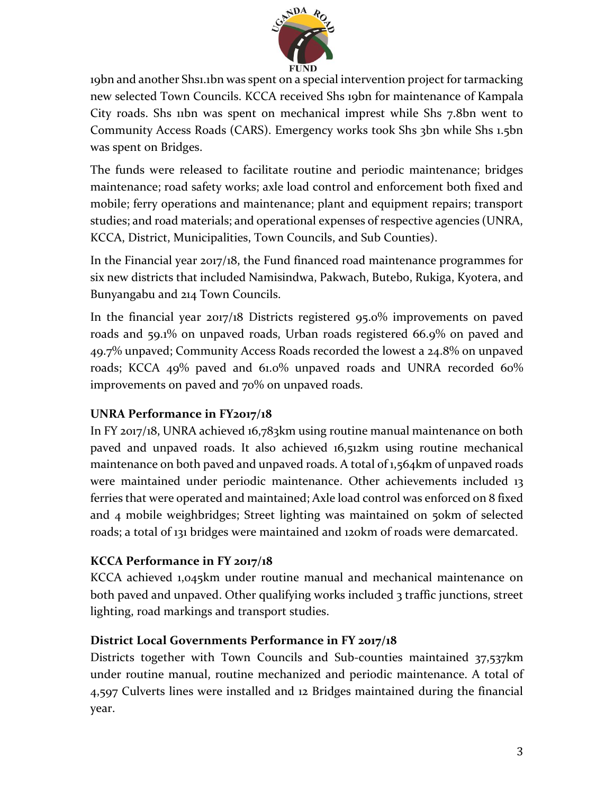

19bn and another Shs1.1bn was spent on a special intervention project for tarmacking new selected Town Councils. KCCA received Shs 19bn for maintenance of Kampala City roads. Shs 11bn was spent on mechanical imprest while Shs 7.8bn went to Community Access Roads (CARS). Emergency works took Shs 3bn while Shs 1.5bn was spent on Bridges.

The funds were released to facilitate routine and periodic maintenance; bridges maintenance; road safety works; axle load control and enforcement both fixed and mobile; ferry operations and maintenance; plant and equipment repairs; transport studies; and road materials; and operational expenses of respective agencies (UNRA, KCCA, District, Municipalities, Town Councils, and Sub Counties).

In the Financial year 2017/18, the Fund financed road maintenance programmes for six new districts that included Namisindwa, Pakwach, Butebo, Rukiga, Kyotera, and Bunyangabu and 214 Town Councils.

In the financial year 2017/18 Districts registered 95.0% improvements on paved roads and 59.1% on unpaved roads, Urban roads registered 66.9% on paved and 49.7% unpaved; Community Access Roads recorded the lowest a 24.8% on unpaved roads; KCCA 49% paved and 61.0% unpaved roads and UNRA recorded 60% improvements on paved and 70% on unpaved roads.

### **UNRA Performance in FY2017/18**

In FY 2017/18, UNRA achieved 16,783km using routine manual maintenance on both paved and unpaved roads. It also achieved 16,512km using routine mechanical maintenance on both paved and unpaved roads. A total of 1,564km of unpaved roads were maintained under periodic maintenance. Other achievements included 13 ferries that were operated and maintained; Axle load control was enforced on 8 fixed and 4 mobile weighbridges; Street lighting was maintained on 50km of selected roads; a total of 131 bridges were maintained and 120km of roads were demarcated.

#### **KCCA Performance in FY 2017/18**

KCCA achieved 1,045km under routine manual and mechanical maintenance on both paved and unpaved. Other qualifying works included 3 traffic junctions, street lighting, road markings and transport studies.

### **District Local Governments Performance in FY 2017/18**

Districts together with Town Councils and Sub-counties maintained 37,537km under routine manual, routine mechanized and periodic maintenance. A total of 4,597 Culverts lines were installed and 12 Bridges maintained during the financial year.